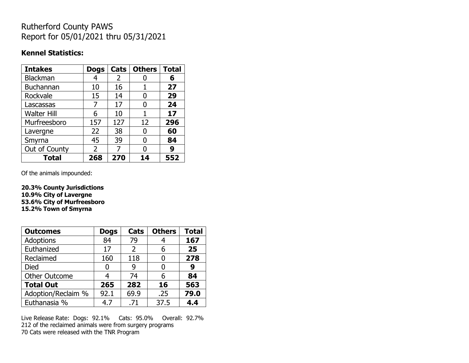## Rutherford County PAWS Report for 05/01/2021 thru 05/31/2021

### **Kennel Statistics:**

| <b>Intakes</b>     | <b>Dogs</b>   | Cats | <b>Others</b> | <b>Total</b> |
|--------------------|---------------|------|---------------|--------------|
| <b>Blackman</b>    | 4             | 2    |               | 6            |
| <b>Buchannan</b>   | 10            | 16   |               | 27           |
| Rockvale           | 15            | 14   |               | 29           |
| Lascassas          | 7             | 17   | 0             | 24           |
| <b>Walter Hill</b> | 6             | 10   |               | 17           |
| Murfreesboro       | 157           | 127  | 12            | 296          |
| Lavergne           | 22            | 38   | O             | 60           |
| Smyrna             | 45            | 39   | O             | 84           |
| Out of County      | $\mathcal{P}$ | 7    | O             | 9            |
| <b>Total</b>       | 268           | 270  | 14            | 552          |

Of the animals impounded:

**20.3% County Jurisdictions 10.9% City of Lavergne 53.6% City of Murfreesboro 15.2% Town of Smyrna**

| <b>Outcomes</b>      | <b>Dogs</b> | Cats | <b>Others</b> | <b>Total</b> |
|----------------------|-------------|------|---------------|--------------|
| Adoptions            | 84          | 79   |               | 167          |
| Euthanized           | 17          | 2    | 6             | 25           |
| Reclaimed            | 160         | 118  |               | 278          |
| <b>Died</b>          | 0           | 9    | 0             | 9            |
| <b>Other Outcome</b> | 4           | 74   | 6             | 84           |
| <b>Total Out</b>     | 265         | 282  | 16            | 563          |
| Adoption/Reclaim %   | 92.1        | 69.9 | .25           | 79.0         |
| Euthanasia %         | 4.7         | .71  | 37.5          | 4.4          |

Live Release Rate: Dogs: 92.1% Cats: 95.0% Overall: 92.7% 212 of the reclaimed animals were from surgery programs 70 Cats were released with the TNR Program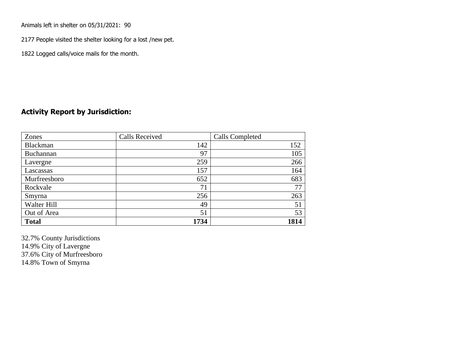Animals left in shelter on 05/31/2021: 90

2177 People visited the shelter looking for a lost /new pet.

1822 Logged calls/voice mails for the month.

## **Activity Report by Jurisdiction:**

| Zones        | <b>Calls Received</b> | Calls Completed |
|--------------|-----------------------|-----------------|
| Blackman     | 142                   | 152             |
| Buchannan    | 97                    | 105             |
| Lavergne     | 259                   | 266             |
| Lascassas    | 157                   | 164             |
| Murfreesboro | 652                   | 683             |
| Rockvale     | 71                    | 77              |
| Smyrna       | 256                   | 263             |
| Walter Hill  | 49                    | 51              |
| Out of Area  | 51                    | 53              |
| <b>Total</b> | 1734                  | 1814            |

32.7% County Jurisdictions 14.9% City of Lavergne 37.6% City of Murfreesboro 14.8% Town of Smyrna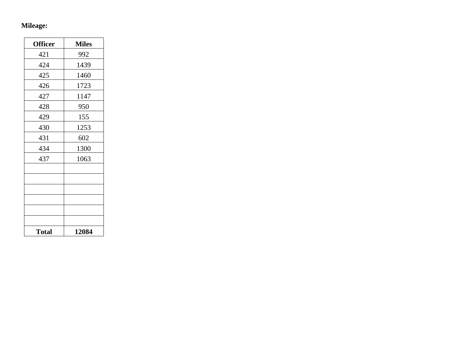# **Mileage:**

| <b>Officer</b> | <b>Miles</b> |
|----------------|--------------|
| 421            | 992          |
| 424            | 1439         |
| 425            | 1460         |
| 426            | 1723         |
| 427            | 1147         |
| 428            | 950          |
| 429            | 155          |
| 430            | 1253         |
| 431            | 602          |
| 434            | 1300         |
| 437            | 1063         |
|                |              |
|                |              |
|                |              |
|                |              |
|                |              |
|                |              |
| <b>Total</b>   | 12084        |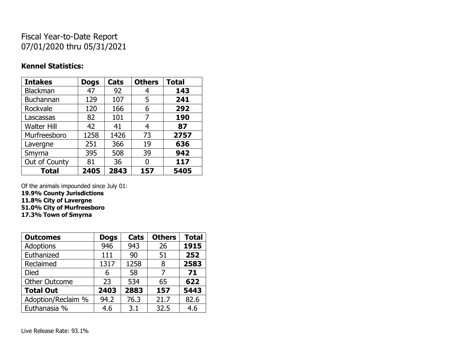## Fiscal Year-to-Date Report 07/01/2020 thru 05/31/2021

### **Kennel Statistics:**

| <b>Intakes</b>     | <b>Dogs</b> | Cats | <b>Others</b> | <b>Total</b> |
|--------------------|-------------|------|---------------|--------------|
| Blackman           | 47          | 92   | 4             | 143          |
| <b>Buchannan</b>   | 129         | 107  | 5             | 241          |
| Rockvale           | 120         | 166  | 6             | 292          |
| Lascassas          | 82          | 101  | 7             | 190          |
| <b>Walter Hill</b> | 42          | 41   | 4             | 87           |
| Murfreesboro       | 1258        | 1426 | 73            | 2757         |
| Lavergne           | 251         | 366  | 19            | 636          |
| Smyrna             | 395         | 508  | 39            | 942          |
| Out of County      | 81          | 36   | 0             | 117          |
| <b>Total</b>       | 2405        | 2843 | 157           | 5405         |

Of the animals impounded since July 01: **19.9% County Jurisdictions 11.8% City of Lavergne**

**51.0% City of Murfreesboro 17.3% Town of Smyrna**

| <b>Outcomes</b>      | <b>Dogs</b> | Cats | <b>Others</b> | <b>Total</b> |
|----------------------|-------------|------|---------------|--------------|
| <b>Adoptions</b>     | 946         | 943  | 26            | 1915         |
| Euthanized           | 111         | 90   | 51            | 252          |
| Reclaimed            | 1317        | 1258 | 8             | 2583         |
| <b>Died</b>          | 6           | 58   | 7             | 71           |
| <b>Other Outcome</b> | 23          | 534  | 65            | 622          |
| <b>Total Out</b>     | 2403        | 2883 | 157           | 5443         |
| Adoption/Reclaim %   | 94.2        | 76.3 | 21.7          | 82.6         |
| Euthanasia %         | 4.6         | 3.1  | 32.5          | 4.6          |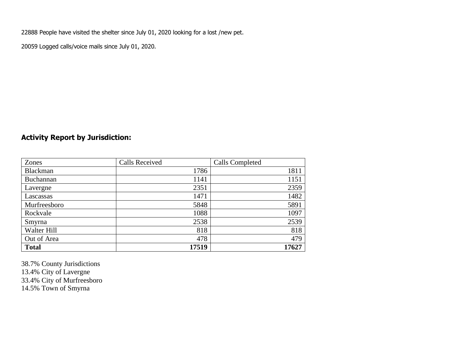22888 People have visited the shelter since July 01, 2020 looking for a lost /new pet.

20059 Logged calls/voice mails since July 01, 2020.

## **Activity Report by Jurisdiction:**

| Zones        | <b>Calls Received</b> | Calls Completed |
|--------------|-----------------------|-----------------|
| Blackman     | 1786                  | 1811            |
| Buchannan    | 1141                  | 1151            |
| Lavergne     | 2351                  | 2359            |
| Lascassas    | 1471                  | 1482            |
| Murfreesboro | 5848                  | 5891            |
| Rockvale     | 1088                  | 1097            |
| Smyrna       | 2538                  | 2539            |
| Walter Hill  | 818                   | 818             |
| Out of Area  | 478                   | 479             |
| <b>Total</b> | 17519                 | 17627           |

38.7% County Jurisdictions 13.4% City of Lavergne 33.4% City of Murfreesboro 14.5% Town of Smyrna